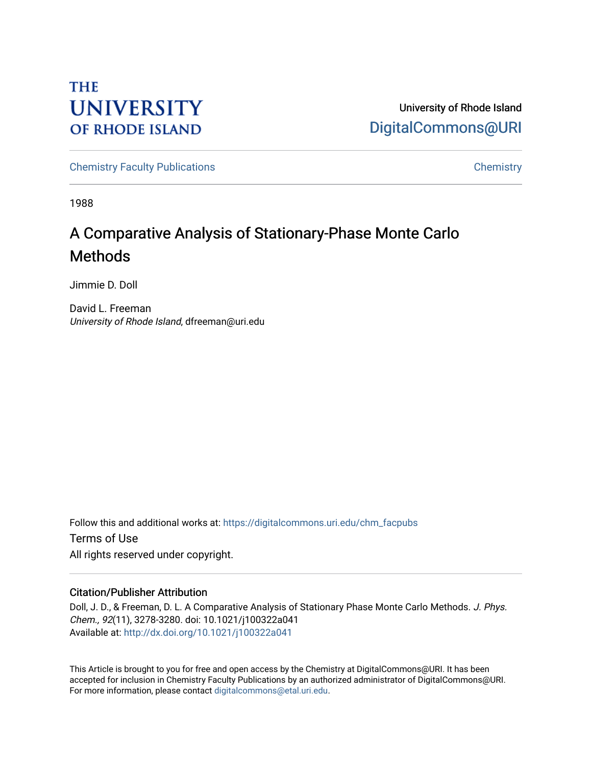# **THE UNIVERSITY OF RHODE ISLAND**

University of Rhode Island [DigitalCommons@URI](https://digitalcommons.uri.edu/) 

[Chemistry Faculty Publications](https://digitalcommons.uri.edu/chm_facpubs) **Chemistry** Chemistry

1988

# A Comparative Analysis of Stationary-Phase Monte Carlo Methods

Jimmie D. Doll

David L. Freeman University of Rhode Island, dfreeman@uri.edu

Follow this and additional works at: [https://digitalcommons.uri.edu/chm\\_facpubs](https://digitalcommons.uri.edu/chm_facpubs?utm_source=digitalcommons.uri.edu%2Fchm_facpubs%2F56&utm_medium=PDF&utm_campaign=PDFCoverPages)  Terms of Use All rights reserved under copyright.

## Citation/Publisher Attribution

Doll, J. D., & Freeman, D. L. A Comparative Analysis of Stationary Phase Monte Carlo Methods. J. Phys. Chem., 92(11), 3278-3280. doi: 10.1021/j100322a041 Available at:<http://dx.doi.org/10.1021/j100322a041>

This Article is brought to you for free and open access by the Chemistry at DigitalCommons@URI. It has been accepted for inclusion in Chemistry Faculty Publications by an authorized administrator of DigitalCommons@URI. For more information, please contact [digitalcommons@etal.uri.edu](mailto:digitalcommons@etal.uri.edu).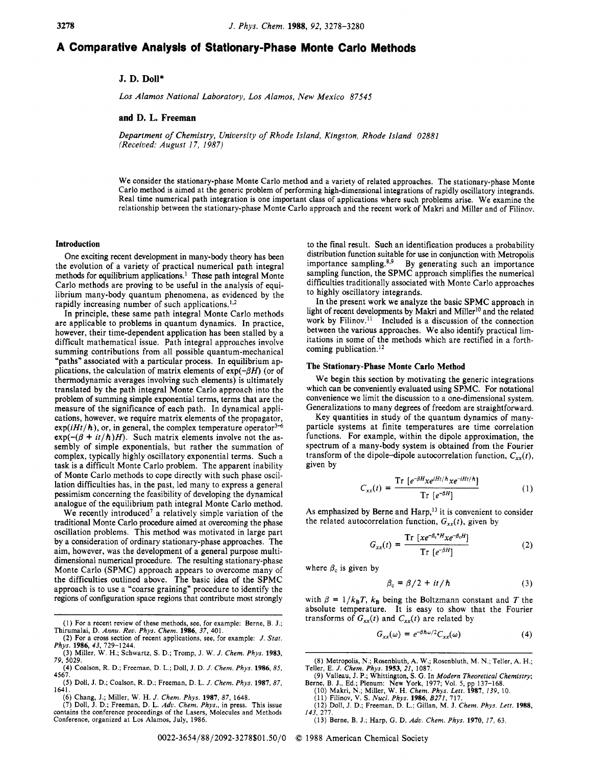## **A Comparative Analysis of Stationary-Phase Monte Carlo Methods**

### **J. D. Doll\***

*Los Alamos National Laboratory, Los Alamos, New Mexico 87545* 

#### **and D. L. Freeman**

*Department of Chemistry, University* of *Rhode Island, Kingston, Rhode Island 02881 (Received: August 17, 1987)* 

We consider the stationary-phase Monte Carlo method and a variety of related approaches. The stationary-phase Monte Carlo method is aimed at the generic problem of performing high-dimensional integrations of rapidly oscillatory integrands. Real time numerical path integration is one important class of applications where such problems arise. We examine the relationship between the stationary-phase Monte Carlo approach and the recent work of Makri and Miller and of Filinov.

#### **Introduction**

One exciting recent development in many-body theory has been the evolution of a variety of practical numerical path integral methods for equilibrium applications.' These path integral Monte Carlo methods are proving to be useful in the analysis of equilibrium many-body quantum phenomena, as evidenced by the rapidly increasing number of such applications.<sup>1,2</sup>

In principle, these same path integral Monte Carlo methods are applicable to problems in quantum dynamics. In practice, however, their time-dependent application has been stalled by a difficult mathematical issue. Path integral approaches involve summing contributions from all possible quantum-mechanical "paths" associated with a particular process. In equilibrium applications, the calculation of matrix elements of  $exp(-\beta H)$  (or of thermodynamic averages involving such elements) is ultimately translated by the path integral Monte Carlo approach into the problem of summing simple exponential terms, terms that are the measure of the significance of each path. In dynamical applications, however, we require matrix elements of the propagator,  $exp(iHt/\hbar)$ , or, in general, the complex temperature operator<sup>3-6</sup>  $exp(-(\beta + it/h)H)$ . Such matrix elements involve not the assembly of simple exponentials, but rather the summation of complex, typically highly oscillatory exponential terms. Such a task is a difficult Monte Carlo problem. The apparent inability of Monte Carlo methods to cope directly with such phase oscillation difficulties has, in the past, led many to express a general pessimism concerning the feasibility of developing the dynamical analogue of the equilibrium path integral Monte Carlo method.

We recently introduced<sup>7</sup> a relatively simple variation of the traditional Monte Carlo procedure aimed at overcoming the phase oscillation problems. This method was motivated in large part by a consideration of ordinary stationary-phase approaches. The aim, however, was the development of a general purpose multidimensional numerical procedure. The resulting stationary-phase Monte Carlo (SPMC) approach appears to overcome many of the difficulties outlined above. The basic idea of the SPMC approach is to use a "coarse graining" procedure to identify the regions of configuration space regions that contribute most strongly

to the final result. Such an identification produces a probability distribution function suitable for use in conjunction with Metropolis importance sampling.<sup>8,9</sup> By generating such an importance By generating such an importance sampling function, the SPMC approach simplifies the numerical difficulties traditionally associated with Monte Carlo approaches to highly oscillatory integrands.

In the present work we analyze the basic SPMC approach in light of recent developments by Makri and Miller<sup>10</sup> and the related work by Filinov. $11$  Included is a discussion of the connection between the various approaches. We also identify practical limitations in some of the methods which are rectified in a forthcoming publication.<sup>12</sup>

#### **The Stationary-Phase Monte Carlo Method**

We begin this section by motivating the generic integrations which can be conveniently evaluated using SPMC. For notational convenience we limit the discussion to a one-dimensional system. Generalizations to many degrees of freedom are straightforward.

Key quantities in study of the quantum dynamics of manyparticle systems at finite temperatures are time correlation functions. For example, within the dipole approximation, the spectrum of a many-body system is obtained from the Fourier transform of the dipole-dipole autocorrelation function,  $C_{xx}(t)$ , given by

$$
C_{xx}(t) = \frac{\text{Tr}\left[e^{-\beta H} x e^{iHt/\hbar} x e^{-iHt/\hbar}\right]}{\text{Tr}\left[e^{-\beta H}\right]} \tag{1}
$$

As emphasized by Berne and Harp,<sup>13</sup> it is convenient to consider the related autocorrelation function,  $G_{xx}(t)$ , given by

$$
G_{xx}(t) = \frac{\text{Tr}\left[xe^{-\beta_c*H}xe^{-\beta_cH}\right]}{\text{Tr}\left[e^{-\beta H}\right]}
$$
(2)

where  $\beta_c$  is given by

$$
\beta_c = \beta/2 + it/\hbar \tag{3}
$$

with  $\beta = 1/k_B T$ ,  $k_B$  being the Boltzmann constant and *T* the absolute temperature. It is easy to show that the Fourier transforms of  $G_{xx}(t)$  and  $C_{xx}(t)$  are related by

$$
G_{xx}(\omega) = e^{-\beta \hbar \omega/2} C_{xx}(\omega) \tag{4}
$$

**(13)** Berne, B. J.; Harp, G. **D.** *Adu. Chem. Phys.* **1970, 17,** 63.

**0022-365418812092-3278\$01.50/0** *0* **1988** American Chemical Society

<sup>(</sup>I) For a recent review of these methods, see, for example: Berne, **B.** J.; Thirumalai, D. *Annu. Reu. Phys. Chem.* **1986,** *37,* 401.

<sup>(2)</sup> For a cross section of recent applications, see, for example: J. *Stat.*  (3) Miller, W. H.; Schwartz, **S.** D.; Tromp, J. W. J. *Chem. Phys.* **1983,**  *Phys.* **1986,** *43,* 729-1244.

*<sup>79,</sup>* 5029.

<sup>(4)</sup> Coalson, R. D.; Freeman, D. L.; Doll, J. D. *J. Chem. Phys.* **1986.85,**  (5) Doll, J. D.; Coalson, R. D.; Freeman, D. L. J. *Chem. Phys.* **1987,87,**  4567.

<sup>1641.</sup> 

<sup>(6)</sup> Chang, J.; Miller, W. H. *J. Chem. Phys.* **1987, 87,** 1648. (7) Doll, J. D.; Freeman, D. L. *Adu. Chem. Phys.,* in press. This issue

contains the conference proceedings of the Lasers, Molecules and Methods Conference, organized at Los Alamos, July, 1986.

<sup>(8)</sup> Metropolis, N.; Rosenbluth, A. W.; Rosenbluth, M. N.; Teller, A. H.; (9) Valleau, J. P.; Whittington, **S.** G. **In** *Modern Theoreticul Chemistry;*  Teller, E. *J. Chem. Phys.* **1953,** *21,* **1087.** 

Berne, B. J., Ed.; Plenum: New **York,** 1977; Vol. 5, pp 137-168.

<sup>(10)</sup> Makri, N.; Miller, W. H. Chem. Phys. Lett. 1987, 139, 10.<br>(11) Filinov, V. S. Nucl. Phys. 1986, B271, 717.<br>(12) Doll, J. D.; Freeman, D. L.; Gillan, M. J. Chem. Phys. Lett. 1988, *1433* 277.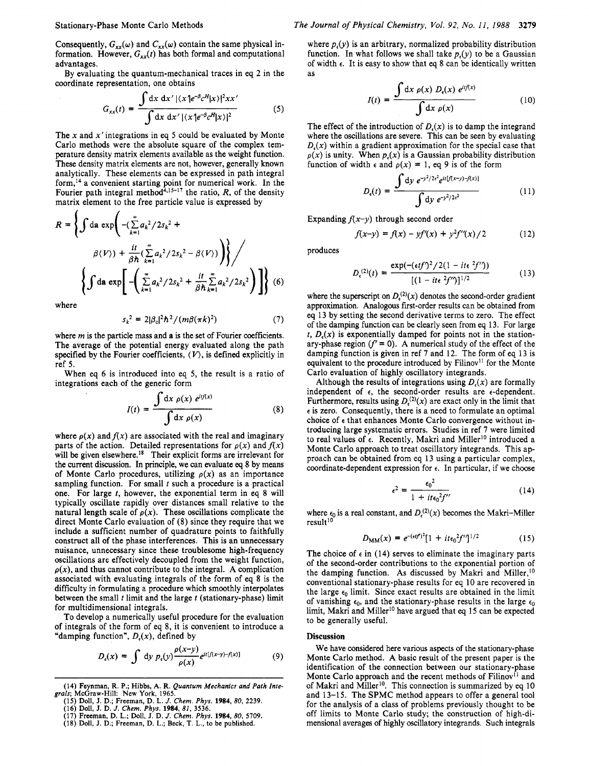Consequently,  $G_{xx}(\omega)$  and  $C_{xx}(\omega)$  contain the same physical information. However,  $G_{xx}(t)$  has both formal and computational advantages.

By evaluating the quantum-mechanical traces in eq 2 in the coordinate representation, one obtains

$$
G_{xx}(t) = \frac{\int dx \, dx' |(x'e^{-\beta}c^H|x)|^2 x x'}{\int dx \, dx' |(x'e^{-\beta}c^H|x)|^2}
$$
(5)

The x and  $x'$  integrations in eq 5 could be evaluated by Monte Carlo methods were the absolute square of the complex temperature density matrix elements available as the weight function. These density matrix elements are not, however, generally known analytically. These elements can be expressed in path integral form,14 a convenient starting point for numerical work. In the Fourier path integral method<sup>4,15-17</sup> the ratio,  $R$ , of the density matrix element to the free particle value is expressed by

$$
R = \left\{ \int \mathrm{da} \, \exp\left( -(\sum_{k=1}^{\infty} a_k^2 / 2s_k^2 + \frac{\beta(\sum_{k=1}^{\infty} a_k^2 / 2s_k^2 - \beta(V))}{\beta \hbar} \right) \right\} / \left\{ \int \mathrm{da} \, \exp\left[ -\left( \sum_{k=1}^{\infty} a_k^2 / 2s_k^2 + \frac{\mathrm{i} t}{\beta \hbar} \sum_{k=1}^{\infty} a_k^2 / 2s_k^2 \right) \right] \right\} (6)
$$

where

 $\lambda$ 

$$
s_k^2 = 2|\beta_c|^2 \hbar^2 / (m\beta(\pi k)^2)
$$
 (7)

where  $m$  is the particle mass and  $a$  is the set of Fourier coefficients. The average of the potential energy evaluated along the path specified by the Fourier coefficients,  $\langle V \rangle$ , is defined explicitly in ref 5.

When eq 6 is introduced into eq 5, the result is a ratio of integrations each of the generic form

$$
I(t) = \frac{\int dx \, \rho(x) \, e^{itf(x)}}{\int dx \, \rho(x)}
$$
(8)

where  $\rho(x)$  and  $f(x)$  are associated with the real and imaginary parts of the action. Detailed representations for  $\rho(x)$  and  $f(x)$ will be given elsewhere.<sup>18</sup> Their explicit forms are irrelevant for the current discussion. In principle, we **can** evaluate *eq* 8 by means of Monte Carlo procedures, utilizing  $\rho(x)$  as an importance sampling function. For small *t* such a procedure is a practical one. For large *t,* however, the exponential term in eq 8 will typically oscillate rapidly over distances small relative to the natural length scale of  $\rho(x)$ . These oscillations complicate the direct Monte Carlo evaluation of (8) since they require that we include a sufficient number of quadrature points to faithfully construct all of the phase interferences. This is an unnecessary nuisance, unnecessary since these troublesome high-frequency oscillations are effectively decoupled from the weight function,  $\rho(x)$ , and thus cannot contribute to the integral. A complication associated with evaluating integrals of the form of eq 8 is the difficulty in formulating a procedure which smoothly interpolates between the small *t* limit and the large *t* (stationary-phase) limit for multidimensional integrals.

To develop a numerically useful procedure for the evaluation of integrals of the form of eq 8, it is convenient to introduce a "damping function", *D,(x),* defined by

$$
D_{\epsilon}(x) = \int \, \mathrm{d}y \, p_{\epsilon}(y) \frac{\rho(x-y)}{\rho(x)} e^{it[f(x-y)-f(x)]} \tag{9}
$$

(15) Doll, J. D.; Freeman, D. L. J. Chem. Phys. 1984, 80, 2239.<br>(16) Doll, J. D. J. Chem. Phys. 1984, 81, 3536.<br>(17) Freeman, D. L.; Doll, J. D. J. Chem. Phys. 1984, 80, 5709.<br>(17) Freeman, D. L.; Doll, J. D. J. Chem. Phys

where  $p<sub>i</sub>(y)$  is an arbitrary, normalized probability distribution function. In what follows we shall take  $p<sub>s</sub>(y)$  to be a Gaussian of width **e.** It is easy to show that *eq* 8 can be identically written as

$$
I(t) = \frac{\int dx \, \rho(x) \, D_{\epsilon}(x) \, e^{itf(x)}}{\int dx \, \rho(x)}
$$
(10)

The effect of the introduction of  $D<sub>t</sub>(x)$  is to damp the integrand where the oscillations are severe. This can be seen by evaluating  $D<sub>i</sub>(x)$  within a gradient approximation for the special case that  $\rho(x)$  is unity. When  $p<sub>i</sub>(x)$  is a Gaussian probability distribution function of width  $\epsilon$  and  $\rho(x) = 1$ , eq 9 is of the form

$$
D_{\epsilon}(t) = \frac{\int dy \ e^{-y^2/2\epsilon^2} e^{it\left[f(x-y)-f(x)\right]}}{\int dy \ e^{-y^2/2\epsilon^2}}
$$
 (11)

Expanding  $f(x-y)$  through second order

$$
f(x-y) = f(x) - yf'(x) + y^2 f''(x) / 2 \tag{12}
$$

produces

$$
D_{\epsilon}^{(2)}(t) = \frac{\exp(-(\epsilon t f')^2 / 2(1 - it\epsilon^2 f''))}{[(1 - it\epsilon^2 f')^2]^{1/2}}
$$
(13)

where the superscript on  $D_r^{(2)}(x)$  denotes the second-order gradient approximation. Analogous first-order results can be obtained from eq 13 by setting the second derivative terms to zero. The effect of the damping function can be clearly seen from *eq* 13. For large  $t, D<sub>ε</sub>(x)$  is exponentially damped for points not in the stationary-phase region  $(f' = 0)$ . A numerical study of the effect of the damping function is given in ref **7** and 12. The form of eq **13** is equivalent to the procedure introduced by Filinov<sup>11</sup> for the Monte Carlo evaluation of highly oscillatory integrands.

Although the results of integrations using *D,(x)* are formally independent of **e,** the second-order results are e-dependent. Furthermore, results using  $D<sub>x</sub><sup>(2)</sup>(x)$  are exact only in the limit that **<sup>e</sup>**is zero. Consequently, there is a need to formulate an optimal choice of **e** that enhances Monte Carlo convergence without introducing large systematic errors. Studies in ref **7** were limited to real values of  $\epsilon$ . Recently, Makri and Miller<sup>10</sup> introduced a Monte Carlo approach to treat oscillatory integrands. This approach can be obtained from eq 13 using a particular complex, coordinate-dependent expression for **e.** In particular, if we choose

$$
\epsilon^2 = \frac{\epsilon_0^2}{1 + it\epsilon_0^2 f^{\prime\prime}}\tag{14}
$$

where  $\epsilon_0$  is a real constant, and  $D_{\epsilon}^{(2)}(x)$  becomes the Makri-Miller result<sup>10</sup>

$$
D_{\rm MM}(x) = e^{-(\epsilon t f)^2} [1 + it\epsilon_0^2 f']^{1/2}
$$
 (15)

The choice of  $\epsilon$  in (14) serves to eliminate the imaginary parts of the second-order contributions to the exponential portion of the damping function. As discussed by Makri and Miller,<sup>10</sup> conventional stationary-phase results for eq 10 are recovered in the large  $\epsilon_0$  limit. Since exact results are obtained in the limit of vanishing  $\epsilon_0$ , and the stationary-phase results in the large  $\epsilon_0$ limit, Makri and Miller<sup>10</sup> have argued that eq 15 can be expected to be generally useful.

#### **Discussion**

We have considered here various aspects of the stationary-phase Monte Carlo method. A basic result of the present paper is the identification of the connection between our stationary-phase Monte Carlo approach and the recent methods of  $Filinov<sup>11</sup>$  and of Makri and Miller<sup>10</sup>. This connection is summarized by eq 10 and 13-15. The SPMC method appears to offer a general tool for the analysis of a class of problems previously thought to be off limits to Monte Carlo study; the construction of high-dimensional averages of highly oscillatory integrands. Such integrals

**<sup>(14)</sup> Feynman, R. P.; Hibbs, A. R.** *Quantum Mechanics and Path Inte grals;* **McGraw-Hill: New York, 1965.**